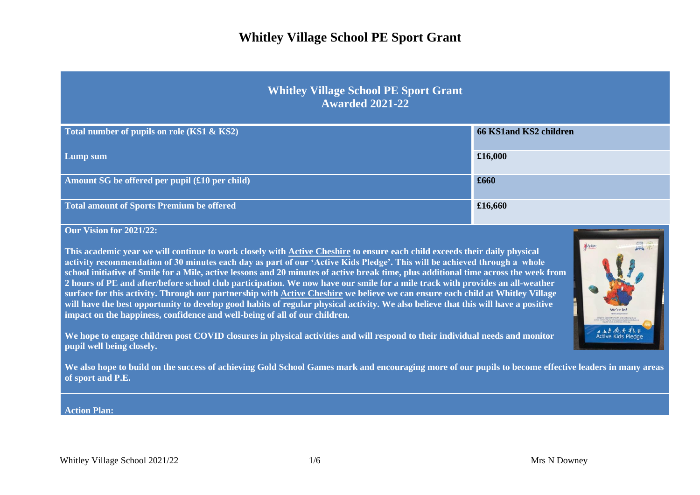#### **Whitley Village School PE Sport Grant Awarded 2021-22**

| Total number of pupils on role (KS1 & KS2)              | 66 KS1and KS2 children |
|---------------------------------------------------------|------------------------|
| Lump sum                                                | £16,000                |
| Amount SG be offered per pupil $(\pounds 10$ per child) | £660                   |
| Total amount of Sports Premium be offered               | £16,660                |

**Our Vision for 2021/22:**

**This academic year we will continue to work closely with Active Cheshire to ensure each child exceeds their daily physical activity recommendation of 30 minutes each day as part of our 'Active Kids Pledge'. This will be achieved through a whole school initiative of Smile for a Mile, active lessons and 20 minutes of active break time, plus additional time across the week from 2 hours of PE and after/before school club participation. We now have our smile for a mile track with provides an all-weather surface for this activity. Through our partnership with Active Cheshire we believe we can ensure each child at Whitley Village will have the best opportunity to develop good habits of regular physical activity. We also believe that this will have a positive impact on the happiness, confidence and well-being of all of our children.**

**We hope to engage children post COVID closures in physical activities and will respond to their individual needs and monitor pupil well being closely.** 

**We also hope to build on the success of achieving Gold School Games mark and encouraging more of our pupils to become effective leaders in many areas of sport and P.E.**

#### **Action Plan:**

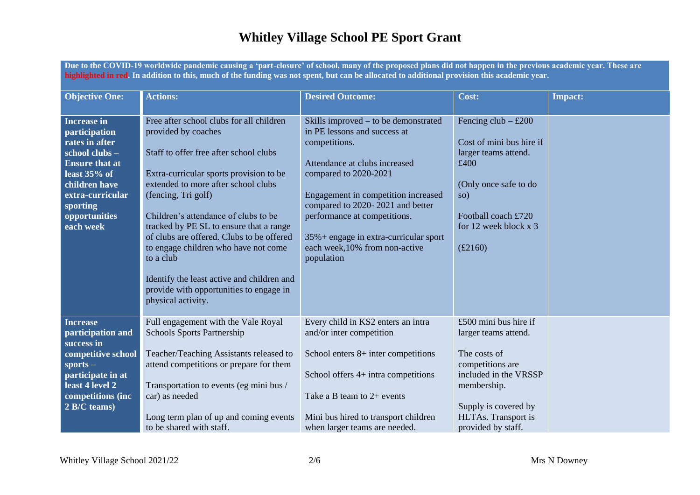**Due to the COVID-19 worldwide pandemic causing a 'part-closure' of school, many of the proposed plans did not happen in the previous academic year. These are highlighted in red. In addition to this, much of the funding was not spent, but can be allocated to additional provision this academic year.**

| <b>Objective One:</b>                                                                                                                                                                             | <b>Actions:</b>                                                                                                                                                                                                                                                                                                                                                                                                                                                                                                        | <b>Desired Outcome:</b>                                                                                                                                                                                                                                                                                                                                | Cost:                                                                                                                                                                                          | <b>Impact:</b> |
|---------------------------------------------------------------------------------------------------------------------------------------------------------------------------------------------------|------------------------------------------------------------------------------------------------------------------------------------------------------------------------------------------------------------------------------------------------------------------------------------------------------------------------------------------------------------------------------------------------------------------------------------------------------------------------------------------------------------------------|--------------------------------------------------------------------------------------------------------------------------------------------------------------------------------------------------------------------------------------------------------------------------------------------------------------------------------------------------------|------------------------------------------------------------------------------------------------------------------------------------------------------------------------------------------------|----------------|
| <b>Increase in</b><br>participation<br>rates in after<br>school clubs -<br><b>Ensure that at</b><br>least $35%$ of<br>children have<br>extra-curricular<br>sporting<br>opportunities<br>each week | Free after school clubs for all children<br>provided by coaches<br>Staff to offer free after school clubs<br>Extra-curricular sports provision to be<br>extended to more after school clubs<br>(fencing, Tri golf)<br>Children's attendance of clubs to be<br>tracked by PE SL to ensure that a range<br>of clubs are offered. Clubs to be offered<br>to engage children who have not come<br>to a club<br>Identify the least active and children and<br>provide with opportunities to engage in<br>physical activity. | Skills improved $-$ to be demonstrated<br>in PE lessons and success at<br>competitions.<br>Attendance at clubs increased<br>compared to 2020-2021<br>Engagement in competition increased<br>compared to 2020-2021 and better<br>performance at competitions.<br>35% + engage in extra-curricular sport<br>each week, 10% from non-active<br>population | Fencing club $-$ £200<br>Cost of mini bus hire if<br>larger teams attend.<br>£400<br>(Only once safe to do<br>so)<br>Football coach £720<br>for 12 week block x 3<br>£2160)                    |                |
| <b>Increase</b><br>participation and<br>success in<br>competitive school<br>$sports -$<br>participate in at<br>least 4 level 2<br>competitions (inc<br>$\overline{2 \text{ B/C}}$ teams)          | Full engagement with the Vale Royal<br><b>Schools Sports Partnership</b><br>Teacher/Teaching Assistants released to<br>attend competitions or prepare for them<br>Transportation to events (eg mini bus /<br>car) as needed<br>Long term plan of up and coming events<br>to be shared with staff.                                                                                                                                                                                                                      | Every child in KS2 enters an intra<br>and/or inter competition<br>School enters $8+$ inter competitions<br>School offers 4+ intra competitions<br>Take a B team to $2+$ events<br>Mini bus hired to transport children<br>when larger teams are needed.                                                                                                | £500 mini bus hire if<br>larger teams attend.<br>The costs of<br>competitions are<br>included in the VRSSP<br>membership.<br>Supply is covered by<br>HLTAs. Transport is<br>provided by staff. |                |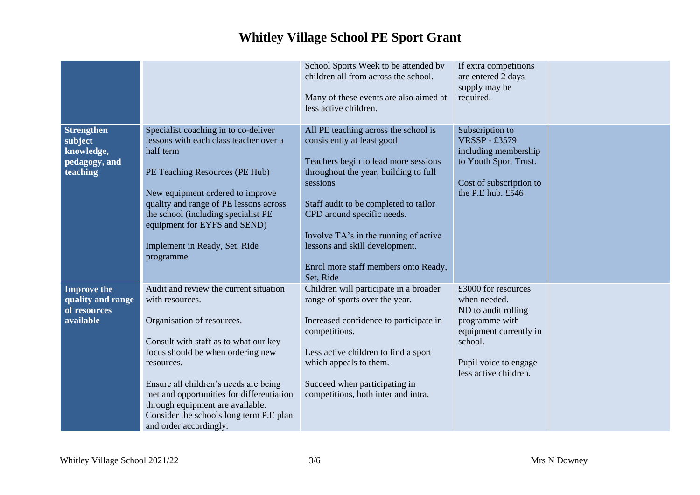|                                                                         |                                                                                                                                                                                                                                                                                                                                                                                    | School Sports Week to be attended by<br>children all from across the school.<br>Many of these events are also aimed at<br>less active children.                                                                                                                                                                                                                        | If extra competitions<br>are entered 2 days<br>supply may be<br>required.                                                                                           |  |
|-------------------------------------------------------------------------|------------------------------------------------------------------------------------------------------------------------------------------------------------------------------------------------------------------------------------------------------------------------------------------------------------------------------------------------------------------------------------|------------------------------------------------------------------------------------------------------------------------------------------------------------------------------------------------------------------------------------------------------------------------------------------------------------------------------------------------------------------------|---------------------------------------------------------------------------------------------------------------------------------------------------------------------|--|
| <b>Strengthen</b><br>subject<br>knowledge,<br>pedagogy, and<br>teaching | Specialist coaching in to co-deliver<br>lessons with each class teacher over a<br>half term<br>PE Teaching Resources (PE Hub)<br>New equipment ordered to improve<br>quality and range of PE lessons across<br>the school (including specialist PE<br>equipment for EYFS and SEND)<br>Implement in Ready, Set, Ride<br>programme                                                   | All PE teaching across the school is<br>consistently at least good<br>Teachers begin to lead more sessions<br>throughout the year, building to full<br>sessions<br>Staff audit to be completed to tailor<br>CPD around specific needs.<br>Involve TA's in the running of active<br>lessons and skill development.<br>Enrol more staff members onto Ready,<br>Set, Ride | Subscription to<br><b>VRSSP-£3579</b><br>including membership<br>to Youth Sport Trust.<br>Cost of subscription to<br>the P.E hub. £546                              |  |
| <b>Improve the</b><br>quality and range<br>of resources<br>available    | Audit and review the current situation<br>with resources.<br>Organisation of resources.<br>Consult with staff as to what our key<br>focus should be when ordering new<br>resources.<br>Ensure all children's needs are being<br>met and opportunities for differentiation<br>through equipment are available.<br>Consider the schools long term P.E plan<br>and order accordingly. | Children will participate in a broader<br>range of sports over the year.<br>Increased confidence to participate in<br>competitions.<br>Less active children to find a sport<br>which appeals to them.<br>Succeed when participating in<br>competitions, both inter and intra.                                                                                          | £3000 for resources<br>when needed.<br>ND to audit rolling<br>programme with<br>equipment currently in<br>school.<br>Pupil voice to engage<br>less active children. |  |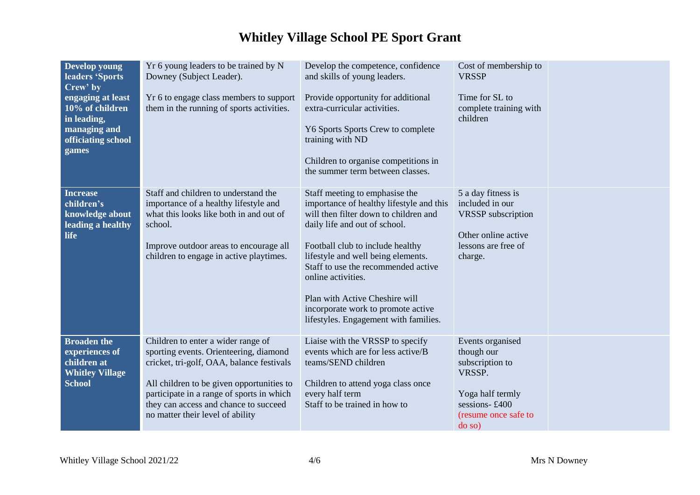| Develop young<br>leaders 'Sports<br>Crew' by<br>engaging at least<br>10% of children<br>in leading,<br>managing and<br>officiating school<br>games | Yr 6 young leaders to be trained by N<br>Downey (Subject Leader).<br>Yr 6 to engage class members to support<br>them in the running of sports activities.                                                                                                                                        | Develop the competence, confidence<br>and skills of young leaders.<br>Provide opportunity for additional<br>extra-curricular activities.<br>Y6 Sports Sports Crew to complete<br>training with ND<br>Children to organise competitions in<br>the summer term between classes.                                                                                                                                | Cost of membership to<br><b>VRSSP</b><br>Time for SL to<br>complete training with<br>children                                     |  |
|----------------------------------------------------------------------------------------------------------------------------------------------------|--------------------------------------------------------------------------------------------------------------------------------------------------------------------------------------------------------------------------------------------------------------------------------------------------|--------------------------------------------------------------------------------------------------------------------------------------------------------------------------------------------------------------------------------------------------------------------------------------------------------------------------------------------------------------------------------------------------------------|-----------------------------------------------------------------------------------------------------------------------------------|--|
| <b>Increase</b><br>children's<br>knowledge about<br>leading a healthy<br><b>life</b>                                                               | Staff and children to understand the<br>importance of a healthy lifestyle and<br>what this looks like both in and out of<br>school.<br>Improve outdoor areas to encourage all<br>children to engage in active playtimes.                                                                         | Staff meeting to emphasise the<br>importance of healthy lifestyle and this<br>will then filter down to children and<br>daily life and out of school.<br>Football club to include healthy<br>lifestyle and well being elements.<br>Staff to use the recommended active<br>online activities.<br>Plan with Active Cheshire will<br>incorporate work to promote active<br>lifestyles. Engagement with families. | 5 a day fitness is<br>included in our<br><b>VRSSP</b> subscription<br>Other online active<br>lessons are free of<br>charge.       |  |
| <b>Broaden the</b><br>experiences of<br>children at<br><b>Whitley Village</b><br><b>School</b>                                                     | Children to enter a wider range of<br>sporting events. Orienteering, diamond<br>cricket, tri-golf, OAA, balance festivals<br>All children to be given opportunities to<br>participate in a range of sports in which<br>they can access and chance to succeed<br>no matter their level of ability | Liaise with the VRSSP to specify<br>events which are for less active/B<br>teams/SEND children<br>Children to attend yoga class once<br>every half term<br>Staff to be trained in how to                                                                                                                                                                                                                      | Events organised<br>though our<br>subscription to<br>VRSSP.<br>Yoga half termly<br>sessions-£400<br>(resume once safe to<br>do so |  |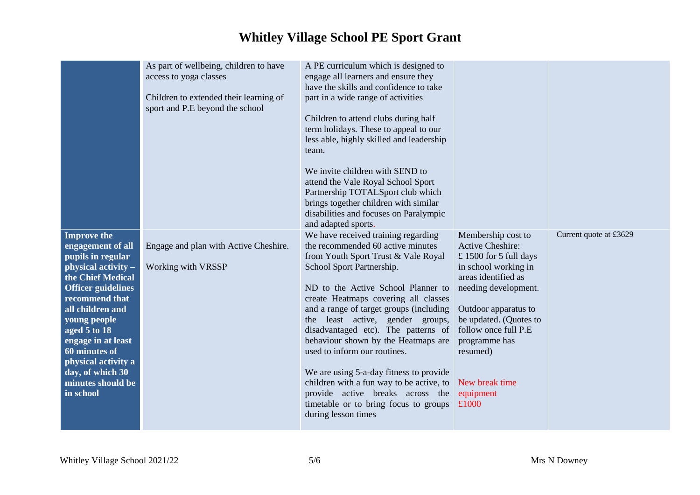|                                                                                                                                                                                                                                                                                                                                 | As part of wellbeing, children to have<br>access to yoga classes<br>Children to extended their learning of<br>sport and P.E beyond the school | A PE curriculum which is designed to<br>engage all learners and ensure they<br>have the skills and confidence to take<br>part in a wide range of activities<br>Children to attend clubs during half<br>term holidays. These to appeal to our<br>less able, highly skilled and leadership<br>team.<br>We invite children with SEND to<br>attend the Vale Royal School Sport<br>Partnership TOTALSport club which<br>brings together children with similar<br>disabilities and focuses on Paralympic<br>and adapted sports.                                                                                          |                                                                                                                                                                                                                                                                                              |                        |
|---------------------------------------------------------------------------------------------------------------------------------------------------------------------------------------------------------------------------------------------------------------------------------------------------------------------------------|-----------------------------------------------------------------------------------------------------------------------------------------------|--------------------------------------------------------------------------------------------------------------------------------------------------------------------------------------------------------------------------------------------------------------------------------------------------------------------------------------------------------------------------------------------------------------------------------------------------------------------------------------------------------------------------------------------------------------------------------------------------------------------|----------------------------------------------------------------------------------------------------------------------------------------------------------------------------------------------------------------------------------------------------------------------------------------------|------------------------|
| <b>Improve the</b><br>engagement of all<br>pupils in regular<br>physical activity -<br>the Chief Medical<br><b>Officer guidelines</b><br>recommend that<br>all children and<br>young people<br>aged 5 to 18<br>engage in at least<br>60 minutes of<br>physical activity a<br>day, of which 30<br>minutes should be<br>in school | Engage and plan with Active Cheshire.<br>Working with VRSSP                                                                                   | We have received training regarding<br>the recommended 60 active minutes<br>from Youth Sport Trust & Vale Royal<br>School Sport Partnership.<br>ND to the Active School Planner to<br>create Heatmaps covering all classes<br>and a range of target groups (including<br>the least active, gender groups,<br>disadvantaged etc). The patterns of<br>behaviour shown by the Heatmaps are<br>used to inform our routines.<br>We are using 5-a-day fitness to provide<br>children with a fun way to be active, to<br>provide active breaks across the<br>timetable or to bring focus to groups<br>during lesson times | Membership cost to<br><b>Active Cheshire:</b><br>£1500 for 5 full days<br>in school working in<br>areas identified as<br>needing development.<br>Outdoor apparatus to<br>be updated. (Quotes to<br>follow once full P.E<br>programme has<br>resumed)<br>New break time<br>equipment<br>£1000 | Current quote at £3629 |